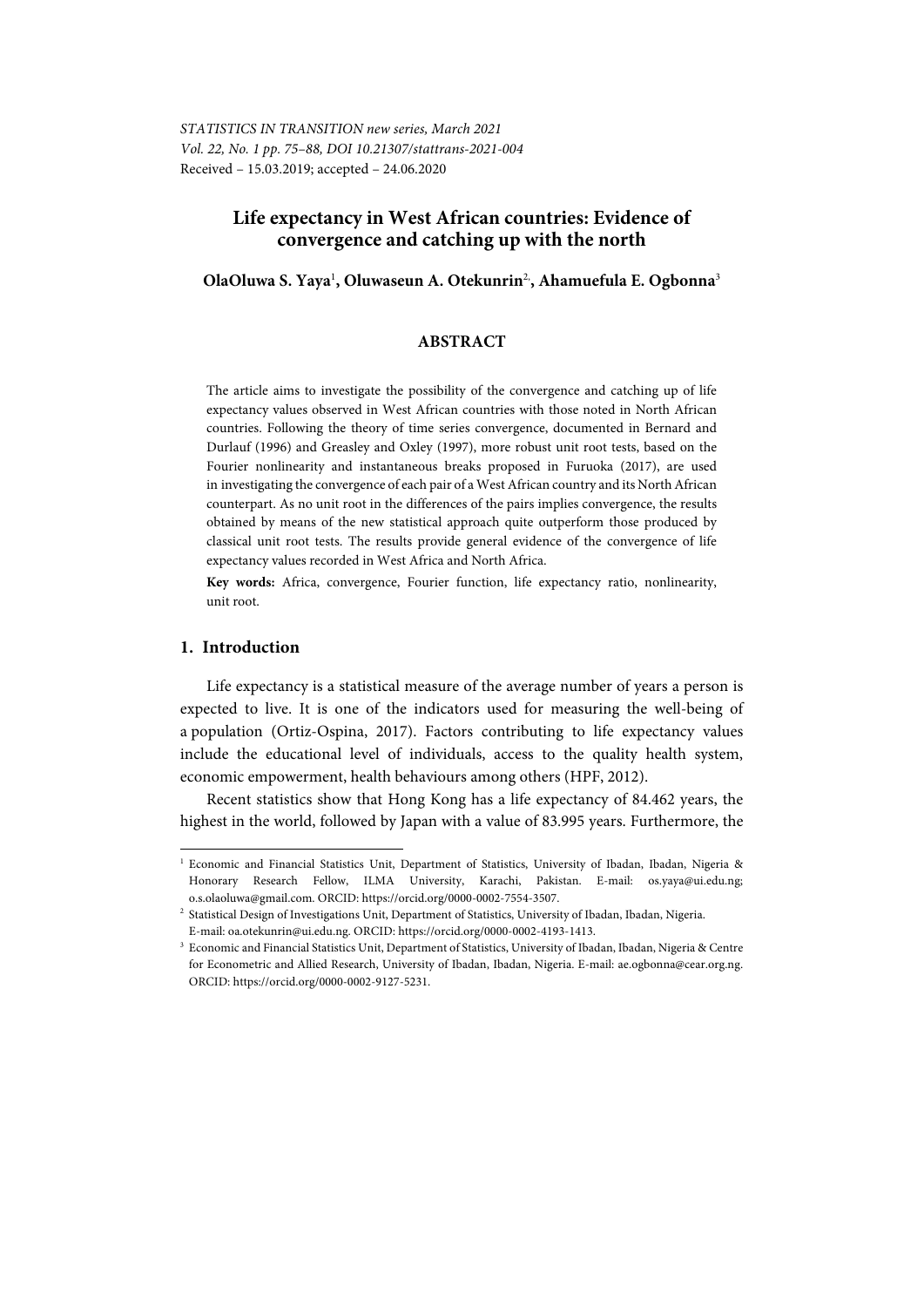# **Life expectancy in West African countries: Evidence of convergence and catching up with the north**

### **OlaOluwa S. Yaya**<sup>1</sup> **, Oluwaseun A. Otekunrin**2,**, Ahamuefula E. Ogbonna**<sup>3</sup>

#### **ABSTRACT**

The article aims to investigate the possibility of the convergence and catching up of life expectancy values observed in West African countries with those noted in North African countries. Following the theory of time series convergence, documented in Bernard and Durlauf (1996) and Greasley and Oxley (1997), more robust unit root tests, based on the Fourier nonlinearity and instantaneous breaks proposed in Furuoka (2017), are used in investigating the convergence of each pair of a West African country and its North African counterpart. As no unit root in the differences of the pairs implies convergence, the results obtained by means of the new statistical approach quite outperform those produced by classical unit root tests. The results provide general evidence of the convergence of life expectancy values recorded in West Africa and North Africa.

**Key words:** Africa, convergence, Fourier function, life expectancy ratio, nonlinearity, unit root.

#### **1. Introduction**

l

Life expectancy is a statistical measure of the average number of years a person is expected to live. It is one of the indicators used for measuring the well-being of a population (Ortiz-Ospina, 2017). Factors contributing to life expectancy values include the educational level of individuals, access to the quality health system, economic empowerment, health behaviours among others (HPF, 2012).

Recent statistics show that Hong Kong has a life expectancy of 84.462 years, the highest in the world, followed by Japan with a value of 83.995 years. Furthermore, the

<sup>&</sup>lt;sup>1</sup> Economic and Financial Statistics Unit, Department of Statistics, University of Ibadan, Ibadan, Nigeria & Honorary Research Fellow, ILMA University, Karachi, Pakistan. E-mail: os.yaya@ui.edu.ng; o.s.olaoluwa@gmail.com. ORCID: https://orcid.org/0000-0002-7554-3507. 2

Statistical Design of Investigations Unit, Department of Statistics, University of Ibadan, Ibadan, Nigeria.

E-mail: oa.otekunrin@ui.edu.ng. ORCID: https://orcid.org/0000-0002-4193-1413.

Economic and Financial Statistics Unit, Department of Statistics, University of Ibadan, Ibadan, Nigeria & Centre for Econometric and Allied Research, University of Ibadan, Ibadan, Nigeria. E-mail: ae.ogbonna@cear.org.ng. ORCID: https://orcid.org/0000-0002-9127-5231.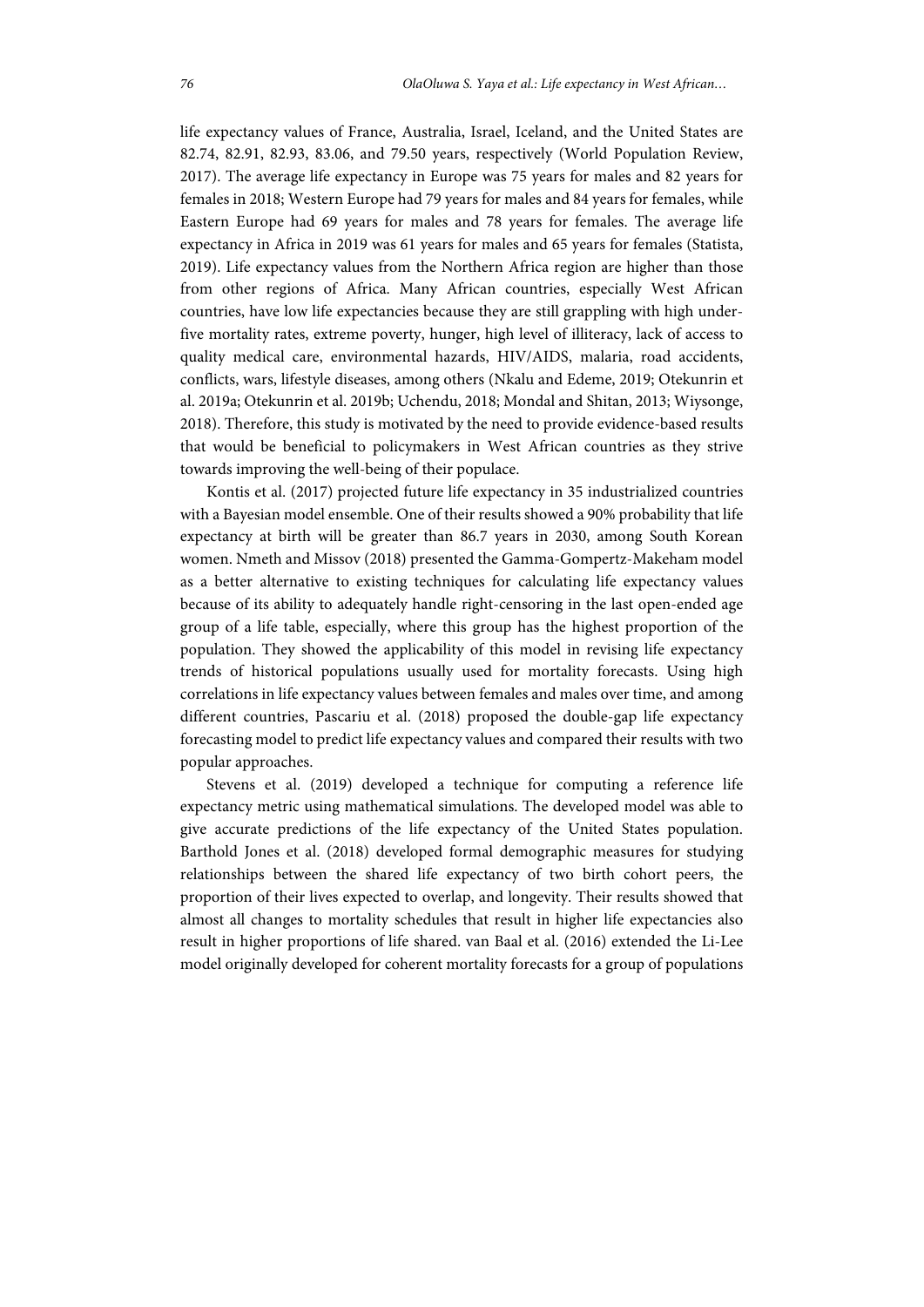life expectancy values of France, Australia, Israel, Iceland, and the United States are 82.74, 82.91, 82.93, 83.06, and 79.50 years, respectively (World Population Review, 2017). The average life expectancy in Europe was 75 years for males and 82 years for females in 2018; Western Europe had 79 years for males and 84 years for females, while Eastern Europe had 69 years for males and 78 years for females. The average life expectancy in Africa in 2019 was 61 years for males and 65 years for females (Statista, 2019). Life expectancy values from the Northern Africa region are higher than those from other regions of Africa. Many African countries, especially West African countries, have low life expectancies because they are still grappling with high underfive mortality rates, extreme poverty, hunger, high level of illiteracy, lack of access to quality medical care, environmental hazards, HIV/AIDS, malaria, road accidents, conflicts, wars, lifestyle diseases, among others (Nkalu and Edeme, 2019; Otekunrin et al. 2019a; Otekunrin et al. 2019b; Uchendu, 2018; Mondal and Shitan, 2013; Wiysonge, 2018). Therefore, this study is motivated by the need to provide evidence-based results that would be beneficial to policymakers in West African countries as they strive towards improving the well-being of their populace.

Kontis et al. (2017) projected future life expectancy in 35 industrialized countries with a Bayesian model ensemble. One of their results showed a 90% probability that life expectancy at birth will be greater than 86.7 years in 2030, among South Korean women. Nmeth and Missov (2018) presented the Gamma-Gompertz-Makeham model as a better alternative to existing techniques for calculating life expectancy values because of its ability to adequately handle right-censoring in the last open-ended age group of a life table, especially, where this group has the highest proportion of the population. They showed the applicability of this model in revising life expectancy trends of historical populations usually used for mortality forecasts. Using high correlations in life expectancy values between females and males over time, and among different countries, Pascariu et al. (2018) proposed the double-gap life expectancy forecasting model to predict life expectancy values and compared their results with two popular approaches.

Stevens et al. (2019) developed a technique for computing a reference life expectancy metric using mathematical simulations. The developed model was able to give accurate predictions of the life expectancy of the United States population. Barthold Jones et al. (2018) developed formal demographic measures for studying relationships between the shared life expectancy of two birth cohort peers, the proportion of their lives expected to overlap, and longevity. Their results showed that almost all changes to mortality schedules that result in higher life expectancies also result in higher proportions of life shared. van Baal et al. (2016) extended the Li-Lee model originally developed for coherent mortality forecasts for a group of populations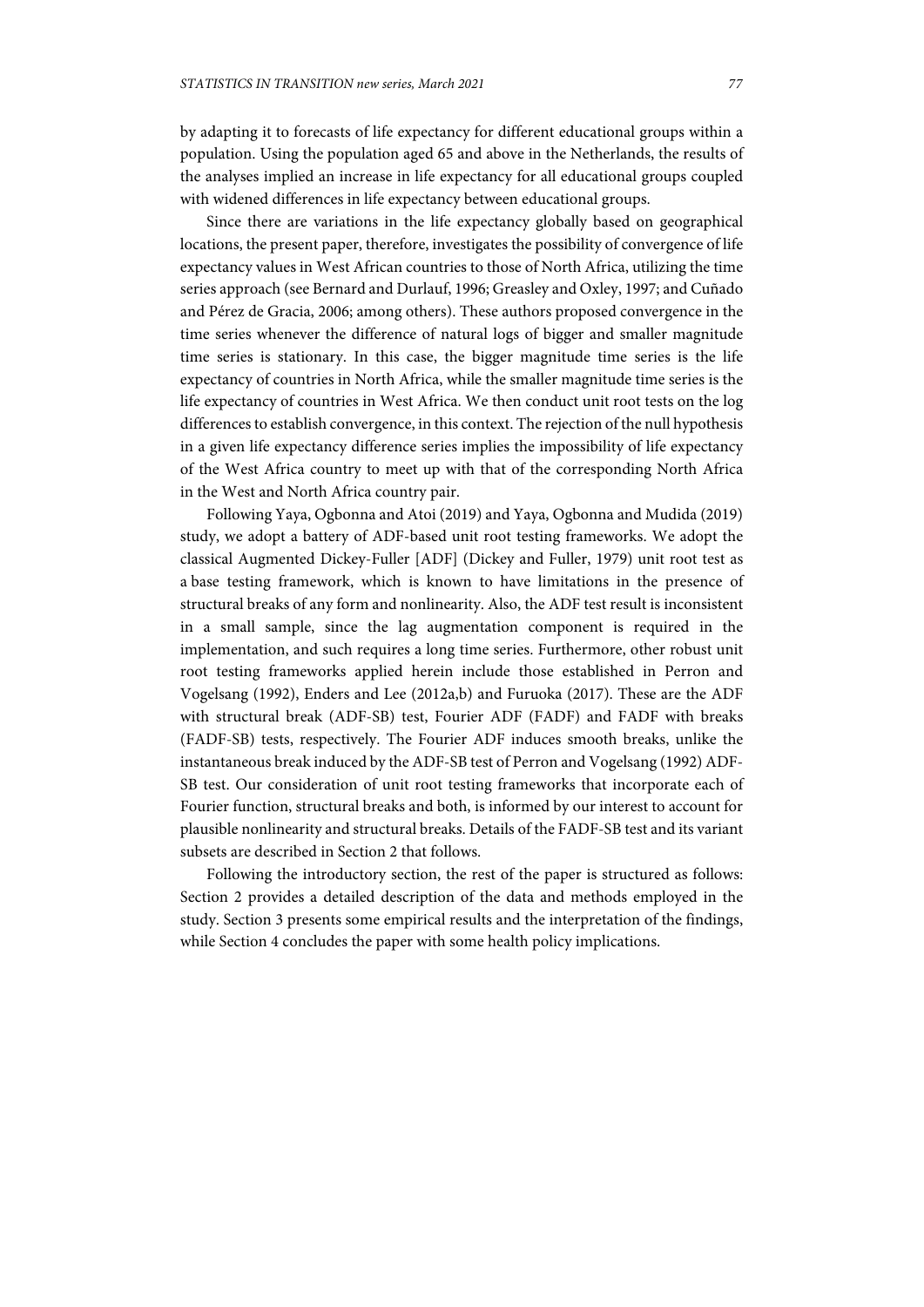by adapting it to forecasts of life expectancy for different educational groups within a population. Using the population aged 65 and above in the Netherlands, the results of the analyses implied an increase in life expectancy for all educational groups coupled with widened differences in life expectancy between educational groups.

Since there are variations in the life expectancy globally based on geographical locations, the present paper, therefore, investigates the possibility of convergence of life expectancy values in West African countries to those of North Africa, utilizing the time series approach (see Bernard and Durlauf, 1996; Greasley and Oxley, 1997; and Cuñado and Pérez de Gracia, 2006; among others). These authors proposed convergence in the time series whenever the difference of natural logs of bigger and smaller magnitude time series is stationary. In this case, the bigger magnitude time series is the life expectancy of countries in North Africa, while the smaller magnitude time series is the life expectancy of countries in West Africa. We then conduct unit root tests on the log differences to establish convergence, in this context. The rejection of the null hypothesis in a given life expectancy difference series implies the impossibility of life expectancy of the West Africa country to meet up with that of the corresponding North Africa in the West and North Africa country pair.

Following Yaya, Ogbonna and Atoi (2019) and Yaya, Ogbonna and Mudida (2019) study, we adopt a battery of ADF-based unit root testing frameworks. We adopt the classical Augmented Dickey-Fuller [ADF] (Dickey and Fuller, 1979) unit root test as a base testing framework, which is known to have limitations in the presence of structural breaks of any form and nonlinearity. Also, the ADF test result is inconsistent in a small sample, since the lag augmentation component is required in the implementation, and such requires a long time series. Furthermore, other robust unit root testing frameworks applied herein include those established in Perron and Vogelsang (1992), Enders and Lee (2012a,b) and Furuoka (2017). These are the ADF with structural break (ADF-SB) test, Fourier ADF (FADF) and FADF with breaks (FADF-SB) tests, respectively. The Fourier ADF induces smooth breaks, unlike the instantaneous break induced by the ADF-SB test of Perron and Vogelsang (1992) ADF-SB test. Our consideration of unit root testing frameworks that incorporate each of Fourier function, structural breaks and both, is informed by our interest to account for plausible nonlinearity and structural breaks. Details of the FADF-SB test and its variant subsets are described in Section 2 that follows.

Following the introductory section, the rest of the paper is structured as follows: Section 2 provides a detailed description of the data and methods employed in the study. Section 3 presents some empirical results and the interpretation of the findings, while Section 4 concludes the paper with some health policy implications.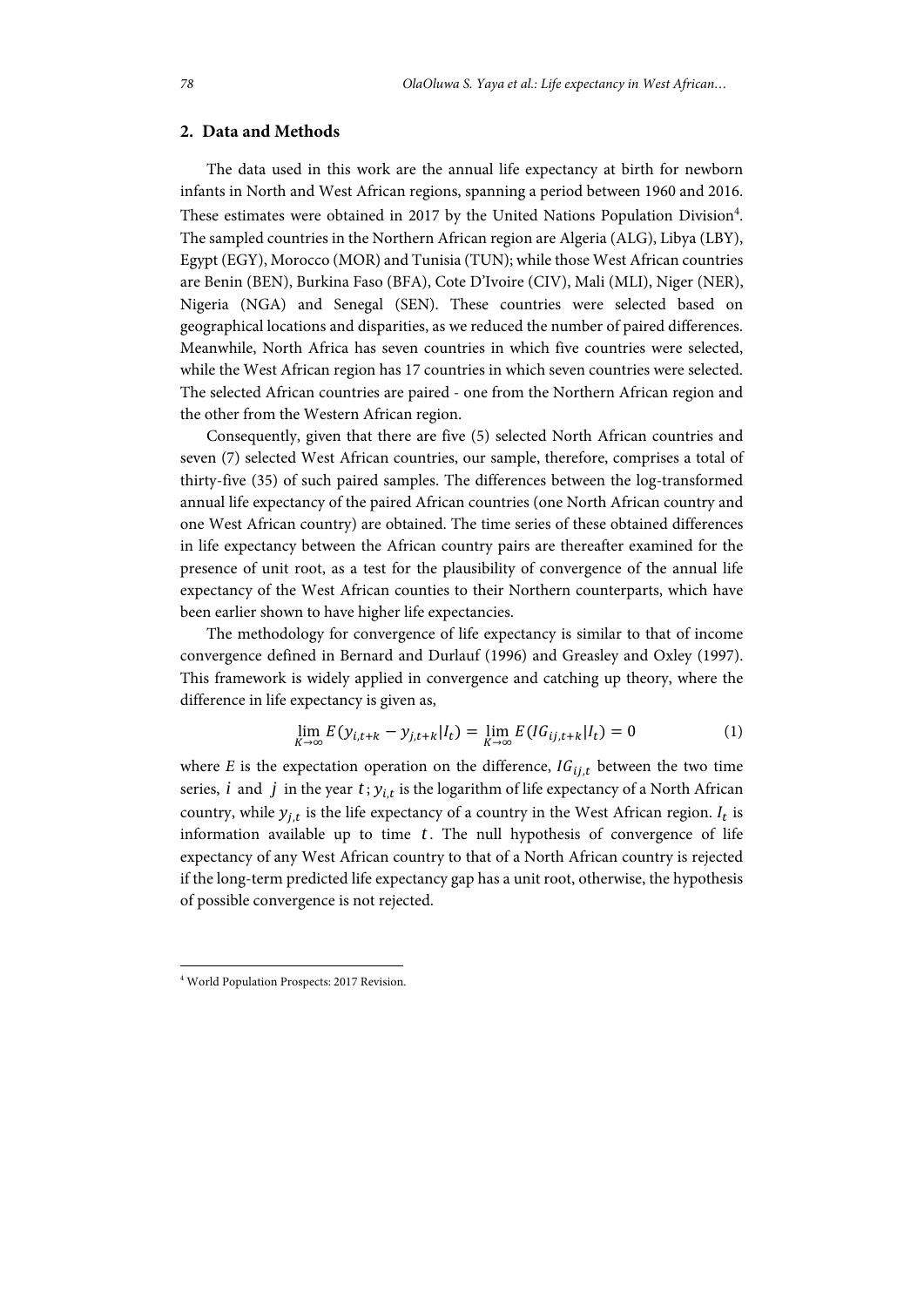## **2. Data and Methods**

The data used in this work are the annual life expectancy at birth for newborn infants in North and West African regions, spanning a period between 1960 and 2016. These estimates were obtained in 2017 by the United Nations Population Division<sup>4</sup>. The sampled countries in the Northern African region are Algeria (ALG), Libya (LBY), Egypt (EGY), Morocco (MOR) and Tunisia (TUN); while those West African countries are Benin (BEN), Burkina Faso (BFA), Cote D'Ivoire (CIV), Mali (MLI), Niger (NER), Nigeria (NGA) and Senegal (SEN). These countries were selected based on geographical locations and disparities, as we reduced the number of paired differences. Meanwhile, North Africa has seven countries in which five countries were selected, while the West African region has 17 countries in which seven countries were selected. The selected African countries are paired - one from the Northern African region and the other from the Western African region.

Consequently, given that there are five (5) selected North African countries and seven (7) selected West African countries, our sample, therefore, comprises a total of thirty-five (35) of such paired samples. The differences between the log-transformed annual life expectancy of the paired African countries (one North African country and one West African country) are obtained. The time series of these obtained differences in life expectancy between the African country pairs are thereafter examined for the presence of unit root, as a test for the plausibility of convergence of the annual life expectancy of the West African counties to their Northern counterparts, which have been earlier shown to have higher life expectancies.

The methodology for convergence of life expectancy is similar to that of income convergence defined in Bernard and Durlauf (1996) and Greasley and Oxley (1997). This framework is widely applied in convergence and catching up theory, where the difference in life expectancy is given as,

$$
\lim_{K \to \infty} E(y_{i,t+k} - y_{j,t+k} | I_t) = \lim_{K \to \infty} E(IG_{ij,t+k} | I_t) = 0 \tag{1}
$$

where *E* is the expectation operation on the difference,  $IG_{ij,t}$  between the two time series, *i* and *j* in the year  $t$ ;  $y_{i,t}$  is the logarithm of life expectancy of a North African country, while  $y_{i,t}$  is the life expectancy of a country in the West African region.  $I_t$  is information available up to time  $t$ . The null hypothesis of convergence of life expectancy of any West African country to that of a North African country is rejected if the long-term predicted life expectancy gap has a unit root, otherwise, the hypothesis of possible convergence is not rejected.

l

<sup>4</sup> World Population Prospects: 2017 Revision.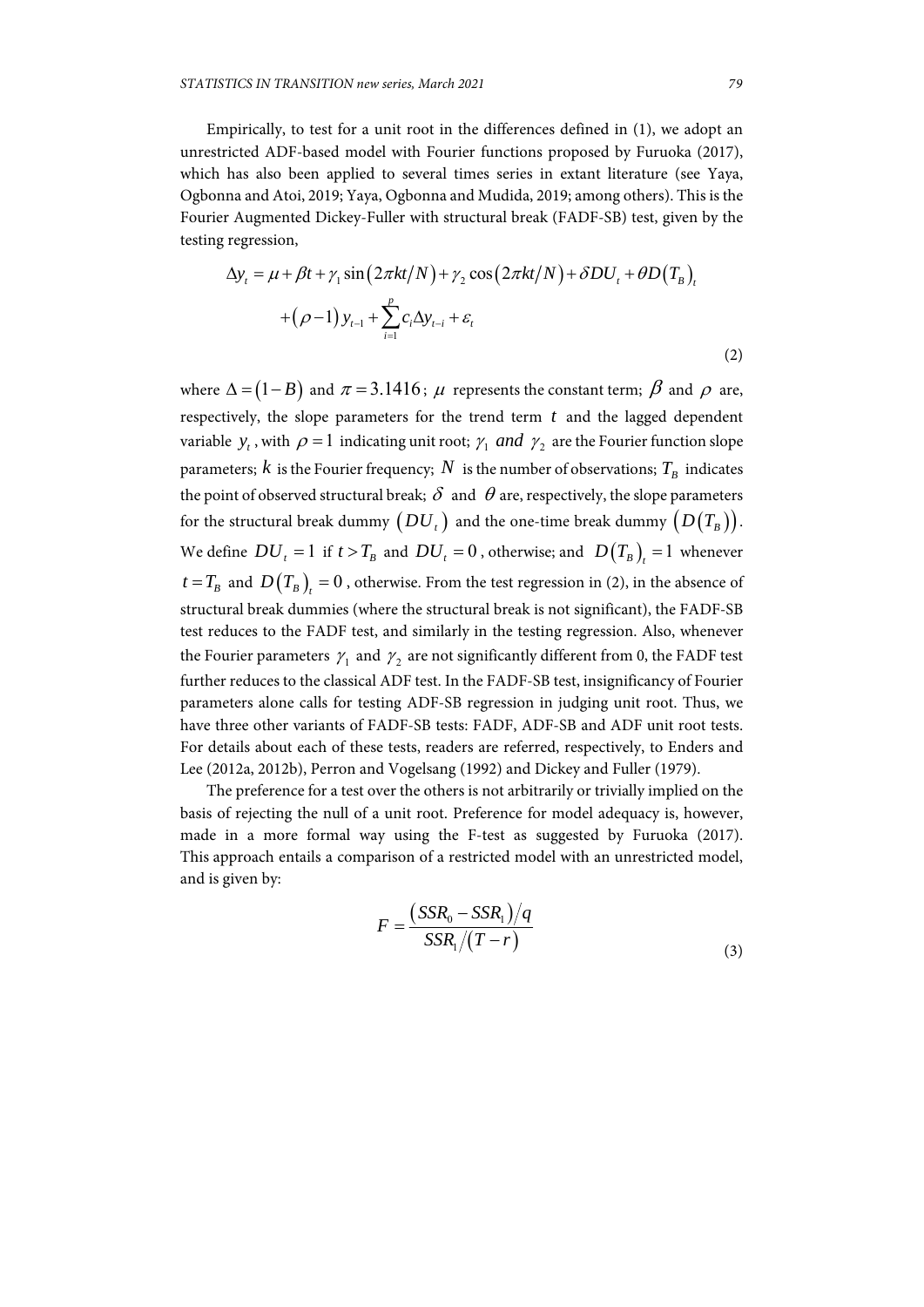Empirically, to test for a unit root in the differences defined in (1), we adopt an unrestricted ADF-based model with Fourier functions proposed by Furuoka (2017), which has also been applied to several times series in extant literature (see Yaya, Ogbonna and Atoi, 2019; Yaya, Ogbonna and Mudida, 2019; among others). This is the Fourier Augmented Dickey-Fuller with structural break (FADF-SB) test, given by the testing regression,

$$
\Delta y_t = \mu + \beta t + \gamma_1 \sin(2\pi kt/N) + \gamma_2 \cos(2\pi kt/N) + \delta DU_t + \theta D(T_B)_t
$$
  
+ 
$$
(\rho - 1) y_{t-1} + \sum_{i=1}^p c_i \Delta y_{t-i} + \varepsilon_t
$$
 (2)

where  $\Delta = (1 - B)$  and  $\pi = 3.1416$ ;  $\mu$  represents the constant term;  $\beta$  and  $\rho$  are, respectively, the slope parameters for the trend term *t* and the lagged dependent variable  $y_t$ , with  $\rho = 1$  indicating unit root;  $\gamma_1$  *and*  $\gamma_2$  are the Fourier function slope parameters; *k* is the Fourier frequency; *N* is the number of observations;  $T<sub>B</sub>$  indicates the point of observed structural break;  $\delta$  and  $\theta$  are, respectively, the slope parameters for the structural break dummy  $(DU_t)$  and the one-time break dummy  $(D(T_R))$ . We define  $DU_t = 1$  if  $t > T_B$  and  $DU_t = 0$ , otherwise; and  $D(T_B) = 1$  whenever  $t = T_B$  and  $D(T_B) = 0$ , otherwise. From the test regression in (2), in the absence of structural break dummies (where the structural break is not significant), the FADF-SB test reduces to the FADF test, and similarly in the testing regression. Also, whenever the Fourier parameters  $\gamma_1$  and  $\gamma_2$  are not significantly different from 0, the FADF test further reduces to the classical ADF test. In the FADF-SB test, insignificancy of Fourier parameters alone calls for testing ADF-SB regression in judging unit root. Thus, we have three other variants of FADF-SB tests: FADF, ADF-SB and ADF unit root tests. For details about each of these tests, readers are referred, respectively, to Enders and Lee (2012a, 2012b), Perron and Vogelsang (1992) and Dickey and Fuller (1979).

The preference for a test over the others is not arbitrarily or trivially implied on the basis of rejecting the null of a unit root. Preference for model adequacy is, however, made in a more formal way using the F-test as suggested by Furuoka (2017). This approach entails a comparison of a restricted model with an unrestricted model, and is given by:

$$
F = \frac{(SSR_0 - SSR_1)/q}{SSR_1/(T-r)}
$$
\n(3)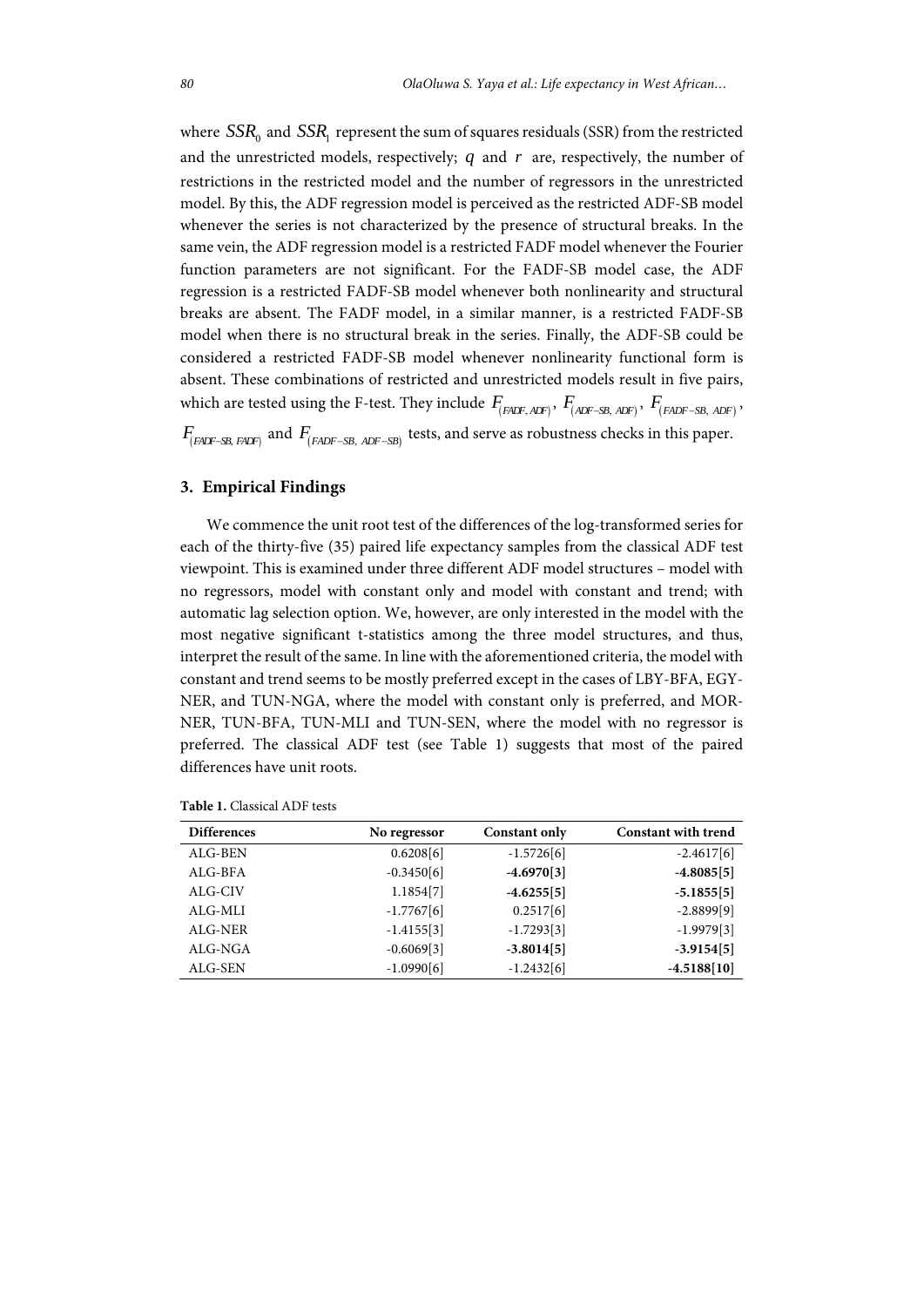where  $SSR_0$  and  $SSR_1$  represent the sum of squares residuals (SSR) from the restricted and the unrestricted models, respectively;  $q$  and  $r$  are, respectively, the number of restrictions in the restricted model and the number of regressors in the unrestricted model. By this, the ADF regression model is perceived as the restricted ADF-SB model whenever the series is not characterized by the presence of structural breaks. In the same vein, the ADF regression model is a restricted FADF model whenever the Fourier function parameters are not significant. For the FADF-SB model case, the ADF regression is a restricted FADF-SB model whenever both nonlinearity and structural breaks are absent. The FADF model, in a similar manner, is a restricted FADF-SB model when there is no structural break in the series. Finally, the ADF-SB could be considered a restricted FADF-SB model whenever nonlinearity functional form is absent. These combinations of restricted and unrestricted models result in five pairs, which are tested using the F-test. They include  $F_{(F\Delta DF, \Delta DF)}$ ,  $F_{(ADF-SB, \Delta DF)}$ ,  $F_{(F\Delta DF-SB, \Delta DF)}$ ,  $F_{(FADF-SB, FADF)}$  and  $F_{(FADF-SB, ADF-SB)}$  tests, and serve as robustness checks in this paper.

### **3. Empirical Findings**

We commence the unit root test of the differences of the log-transformed series for each of the thirty-five (35) paired life expectancy samples from the classical ADF test viewpoint. This is examined under three different ADF model structures – model with no regressors, model with constant only and model with constant and trend; with automatic lag selection option. We, however, are only interested in the model with the most negative significant t-statistics among the three model structures, and thus, interpret the result of the same. In line with the aforementioned criteria, the model with constant and trend seems to be mostly preferred except in the cases of LBY-BFA, EGY-NER, and TUN-NGA, where the model with constant only is preferred, and MOR-NER, TUN-BFA, TUN-MLI and TUN-SEN, where the model with no regressor is preferred. The classical ADF test (see Table 1) suggests that most of the paired differences have unit roots.

| <b>Differences</b> | No regressor | <b>Constant only</b> | <b>Constant with trend</b> |
|--------------------|--------------|----------------------|----------------------------|
| ALG-BEN            | 0.6208[6]    | $-1.5726[6]$         | $-2.4617[6]$               |
| ALG-BFA            | $-0.3450[6]$ | $-4.6970[3]$         | $-4.8085[5]$               |
| ALG-CIV            | 1.1854[7]    | $-4.6255[5]$         | $-5.1855[5]$               |
| $ALG-MLI$          | $-1.7767[6]$ | 0.2517[6]            | $-2.8899[9]$               |
| ALG-NER            | $-1.4155[3]$ | $-1.7293[3]$         | $-1.9979[3]$               |
| ALG-NGA            | $-0.6069[3]$ | $-3.8014[5]$         | $-3.9154[5]$               |
| ALG-SEN            | $-1.0990[6]$ | $-1.2432[6]$         | $-4.5188[10]$              |

**Table 1.** Classical ADF tests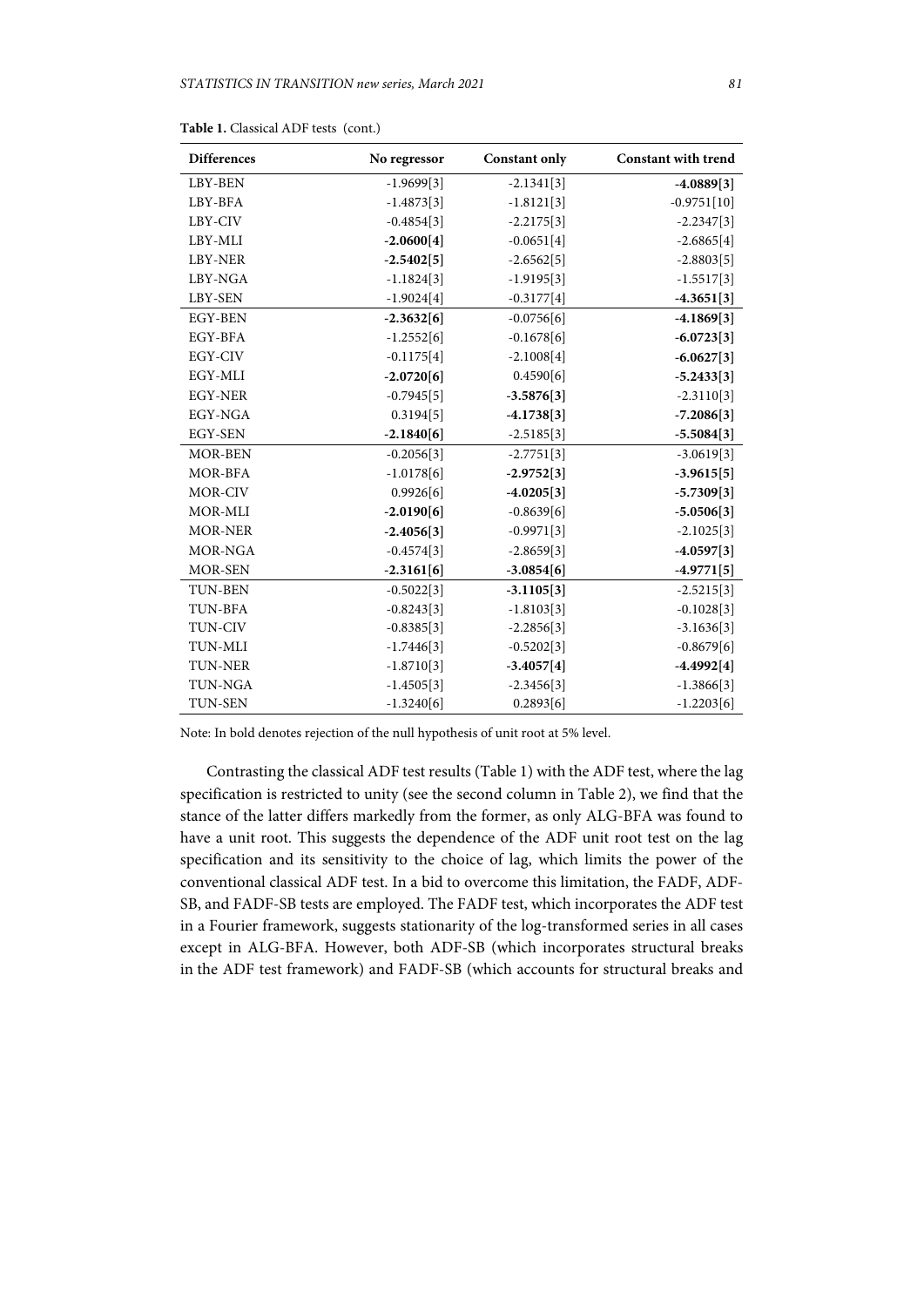| <b>Differences</b> | No regressor | <b>Constant only</b> | <b>Constant with trend</b> |
|--------------------|--------------|----------------------|----------------------------|
| LBY-BEN            | $-1.9699[3]$ | $-2.1341[3]$         | $-4.0889[3]$               |
| LBY-BFA            | $-1.4873[3]$ | $-1.8121[3]$         | $-0.9751[10]$              |
| LBY-CIV            | $-0.4854[3]$ | $-2.2175[3]$         | $-2.2347[3]$               |
| LBY-MLI            | $-2.0600[4]$ | $-0.0651[4]$         | $-2.6865[4]$               |
| <b>LBY-NER</b>     | $-2.5402[5]$ | $-2.6562[5]$         | $-2.8803[5]$               |
| LBY-NGA            | $-1.1824[3]$ | $-1.9195[3]$         | $-1.5517[3]$               |
| LBY-SEN            | $-1.9024[4]$ | $-0.3177[4]$         | $-4.3651[3]$               |
| <b>EGY-BEN</b>     | $-2.3632[6]$ | $-0.0756[6]$         | $-4.1869[3]$               |
| EGY-BFA            | $-1.2552[6]$ | $-0.1678[6]$         | $-6.0723[3]$               |
| <b>EGY-CIV</b>     | $-0.1175[4]$ | $-2.1008[4]$         | $-6.0627[3]$               |
| EGY-MLI            | $-2.0720[6]$ | 0.4590[6]            | $-5.2433[3]$               |
| <b>EGY-NER</b>     | $-0.7945[5]$ | $-3.5876[3]$         | $-2.3110[3]$               |
| EGY-NGA            | 0.3194[5]    | $-4.1738[3]$         | $-7.2086[3]$               |
| <b>EGY-SEN</b>     | $-2.1840[6]$ | $-2.5185[3]$         | $-5.5084[3]$               |
| <b>MOR-BEN</b>     | $-0.2056[3]$ | $-2.7751[3]$         | $-3.0619[3]$               |
| MOR-BFA            | $-1.0178[6]$ | $-2.9752[3]$         | $-3.9615[5]$               |
| MOR-CIV            | 0.9926[6]    | $-4.0205[3]$         | $-5.7309[3]$               |
| MOR-MLI            | $-2.0190[6]$ | $-0.8639[6]$         | $-5.0506[3]$               |
| <b>MOR-NER</b>     | $-2.4056[3]$ | $-0.9971[3]$         | $-2.1025[3]$               |
| MOR-NGA            | $-0.4574[3]$ | $-2.8659[3]$         | $-4.0597[3]$               |
| <b>MOR-SEN</b>     | $-2.3161[6]$ | $-3.0854[6]$         | $-4.9771[5]$               |
| <b>TUN-BEN</b>     | $-0.5022[3]$ | $-3.1105[3]$         | $-2.5215[3]$               |
| TUN-BFA            | $-0.8243[3]$ | $-1.8103[3]$         | $-0.1028[3]$               |
| <b>TUN-CIV</b>     | $-0.8385[3]$ | $-2.2856[3]$         | $-3.1636[3]$               |
| <b>TUN-MLI</b>     | $-1.7446[3]$ | $-0.5202[3]$         | $-0.8679[6]$               |
| <b>TUN-NER</b>     | $-1.8710[3]$ | $-3.4057[4]$         | $-4.4992[4]$               |
| <b>TUN-NGA</b>     | $-1.4505[3]$ | $-2.3456[3]$         | $-1.3866[3]$               |
| <b>TUN-SEN</b>     | $-1.3240[6]$ | 0.2893[6]            | $-1.2203[6]$               |

|  |  | Table 1. Classical ADF tests (cont.) |  |
|--|--|--------------------------------------|--|
|--|--|--------------------------------------|--|

Note: In bold denotes rejection of the null hypothesis of unit root at 5% level.

Contrasting the classical ADF test results (Table 1) with the ADF test, where the lag specification is restricted to unity (see the second column in Table 2), we find that the stance of the latter differs markedly from the former, as only ALG-BFA was found to have a unit root. This suggests the dependence of the ADF unit root test on the lag specification and its sensitivity to the choice of lag, which limits the power of the conventional classical ADF test. In a bid to overcome this limitation, the FADF, ADF-SB, and FADF-SB tests are employed. The FADF test, which incorporates the ADF test in a Fourier framework, suggests stationarity of the log-transformed series in all cases except in ALG-BFA. However, both ADF-SB (which incorporates structural breaks in the ADF test framework) and FADF-SB (which accounts for structural breaks and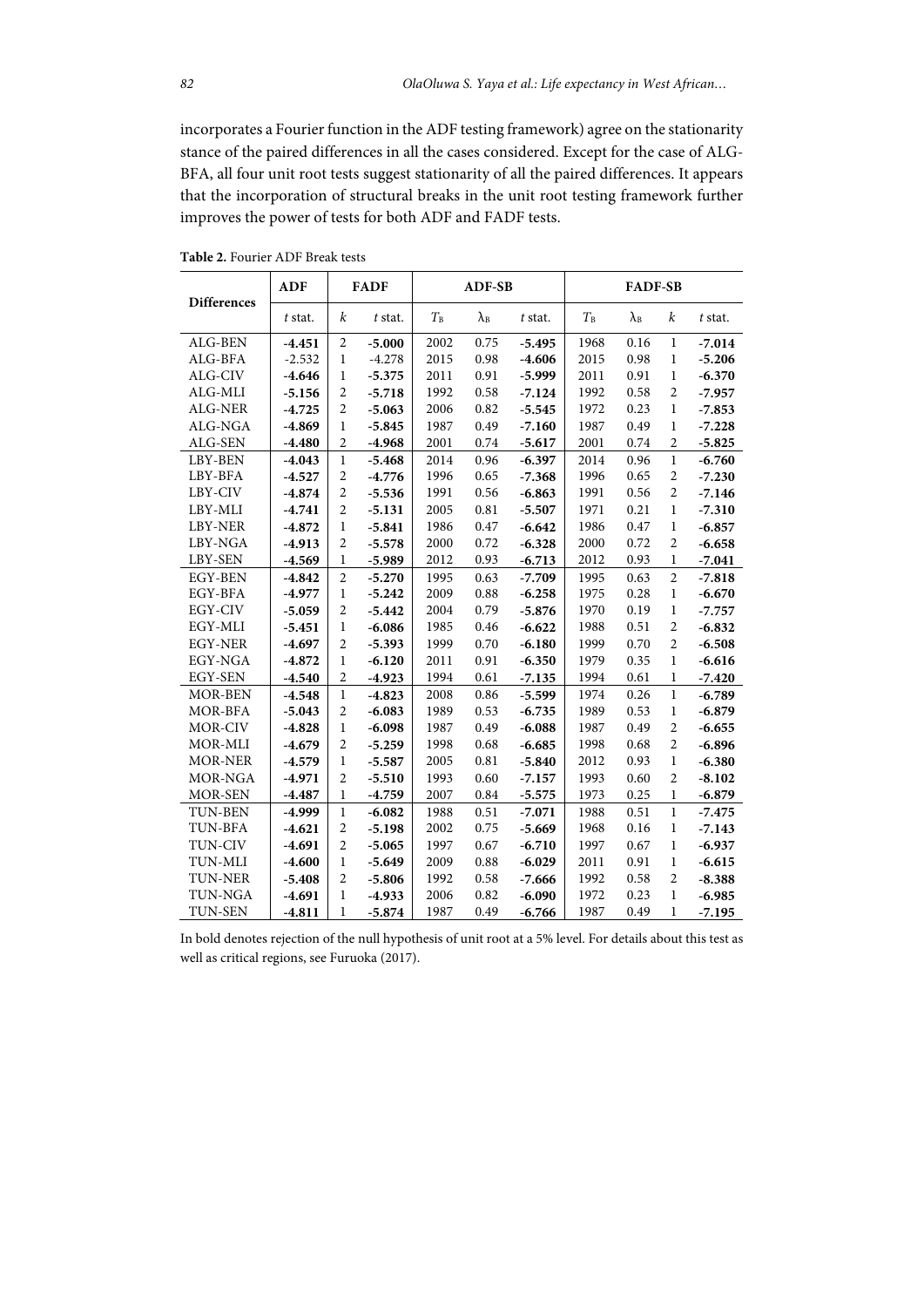incorporates a Fourier function in the ADF testing framework) agree on the stationarity stance of the paired differences in all the cases considered. Except for the case of ALG-BFA, all four unit root tests suggest stationarity of all the paired differences. It appears that the incorporation of structural breaks in the unit root testing framework further improves the power of tests for both ADF and FADF tests.

| <b>Differences</b> | <b>ADF</b> | <b>FADF</b>      |          | <b>ADF-SB</b> |                   | <b>FADF-SB</b> |       |                   |                |          |
|--------------------|------------|------------------|----------|---------------|-------------------|----------------|-------|-------------------|----------------|----------|
|                    | t stat.    | k                | t stat.  | $T_B$         | $\lambda_{\rm B}$ | t stat.        | $T_B$ | $\lambda_{\rm B}$ | k              | t stat.  |
| ALG-BEN            | $-4.451$   | $\overline{2}$   | $-5.000$ | 2002          | 0.75              | $-5.495$       | 1968  | 0.16              | 1              | $-7.014$ |
| ALG-BFA            | $-2.532$   | $\mathbf{1}$     | $-4.278$ | 2015          | 0.98              | $-4.606$       | 2015  | 0.98              | $\mathbf{1}$   | $-5.206$ |
| ALG-CIV            | $-4.646$   | $\mathbf{1}$     | $-5.375$ | 2011          | 0.91              | $-5.999$       | 2011  | 0.91              | $\mathbf{1}$   | $-6.370$ |
| ALG-MLI            | $-5.156$   | $\overline{2}$   | $-5.718$ | 1992          | 0.58              | $-7.124$       | 1992  | 0.58              | $\overline{2}$ | $-7.957$ |
| ALG-NER            | $-4.725$   | $\overline{2}$   | $-5.063$ | 2006          | 0.82              | $-5.545$       | 1972  | 0.23              | $\mathbf{1}$   | $-7.853$ |
| ALG-NGA            | $-4.869$   | $\mathbf{1}$     | $-5.845$ | 1987          | 0.49              | $-7.160$       | 1987  | 0.49              | $\mathbf{1}$   | $-7.228$ |
| ALG-SEN            | $-4.480$   | $\overline{2}$   | $-4.968$ | 2001          | 0.74              | $-5.617$       | 2001  | 0.74              | $\overline{2}$ | $-5.825$ |
| LBY-BEN            | $-4.043$   | $\mathbf{1}$     | $-5.468$ | 2014          | 0.96              | $-6.397$       | 2014  | 0.96              | $\mathbf{1}$   | $-6.760$ |
| LBY-BFA            | $-4.527$   | $\overline{2}$   | $-4.776$ | 1996          | 0.65              | $-7.368$       | 1996  | 0.65              | $\overline{c}$ | $-7.230$ |
| LBY-CIV            | $-4.874$   | $\overline{2}$   | $-5.536$ | 1991          | 0.56              | $-6.863$       | 1991  | 0.56              | $\overline{c}$ | $-7.146$ |
| LBY-MLI            | $-4.741$   | $\overline{2}$   | $-5.131$ | 2005          | 0.81              | $-5.507$       | 1971  | 0.21              | $\mathbf{1}$   | $-7.310$ |
| LBY-NER            | $-4.872$   | $\mathbf{1}$     | $-5.841$ | 1986          | 0.47              | $-6.642$       | 1986  | 0.47              | $\mathbf{1}$   | $-6.857$ |
| LBY-NGA            | $-4.913$   | $\overline{2}$   | $-5.578$ | 2000          | 0.72              | $-6.328$       | 2000  | 0.72              | $\overline{2}$ | $-6.658$ |
| LBY-SEN            | $-4.569$   | $\mathbf{1}$     | $-5.989$ | 2012          | 0.93              | $-6.713$       | 2012  | 0.93              | $\mathbf{1}$   | $-7.041$ |
| EGY-BEN            | $-4.842$   | $\overline{2}$   | $-5.270$ | 1995          | 0.63              | $-7.709$       | 1995  | 0.63              | $\overline{2}$ | $-7.818$ |
| EGY-BFA            | $-4.977$   | $\mathbf{1}$     | $-5.242$ | 2009          | 0.88              | $-6.258$       | 1975  | 0.28              | $\mathbf{1}$   | $-6.670$ |
| EGY-CIV            | $-5.059$   | $\overline{2}$   | $-5.442$ | 2004          | 0.79              | $-5.876$       | 1970  | 0.19              | $\mathbf{1}$   | $-7.757$ |
| EGY-MLI            | $-5.451$   | $\mathbf{1}$     | $-6.086$ | 1985          | 0.46              | $-6.622$       | 1988  | 0.51              | $\overline{c}$ | $-6.832$ |
| <b>EGY-NER</b>     | $-4.697$   | $\overline{2}$   | $-5.393$ | 1999          | 0.70              | $-6.180$       | 1999  | 0.70              | $\overline{c}$ | $-6.508$ |
| EGY-NGA            | $-4.872$   | $\mathbf{1}$     | $-6.120$ | 2011          | 0.91              | $-6.350$       | 1979  | 0.35              | $\mathbf{1}$   | $-6.616$ |
| <b>EGY-SEN</b>     | $-4.540$   | $\overline{2}$   | $-4.923$ | 1994          | 0.61              | $-7.135$       | 1994  | 0.61              | $\mathbf{1}$   | $-7.420$ |
| <b>MOR-BEN</b>     | $-4.548$   | $\mathbf{1}$     | $-4.823$ | 2008          | 0.86              | $-5.599$       | 1974  | 0.26              | $\mathbf{1}$   | $-6.789$ |
| MOR-BFA            | $-5.043$   | $\overline{2}$   | $-6.083$ | 1989          | 0.53              | $-6.735$       | 1989  | 0.53              | $\mathbf{1}$   | $-6.879$ |
| MOR-CIV            | $-4.828$   | $\mathbf{1}$     | $-6.098$ | 1987          | 0.49              | $-6.088$       | 1987  | 0.49              | $\overline{2}$ | $-6.655$ |
| MOR-MLI            | $-4.679$   | $\overline{2}$   | $-5.259$ | 1998          | 0.68              | $-6.685$       | 1998  | 0.68              | $\overline{2}$ | $-6.896$ |
| <b>MOR-NER</b>     | $-4.579$   | $\mathbf{1}$     | $-5.587$ | 2005          | 0.81              | $-5.840$       | 2012  | 0.93              | $\mathbf{1}$   | $-6.380$ |
| MOR-NGA            | $-4.971$   | $\overline{2}$   | $-5.510$ | 1993          | 0.60              | $-7.157$       | 1993  | 0.60              | $\overline{c}$ | $-8.102$ |
| <b>MOR-SEN</b>     | $-4.487$   | $\mathbf{1}$     | $-4.759$ | 2007          | 0.84              | $-5.575$       | 1973  | 0.25              | $\mathbf{1}$   | $-6.879$ |
| <b>TUN-BEN</b>     | $-4.999$   | $\mathbf{1}$     | $-6.082$ | 1988          | 0.51              | $-7.071$       | 1988  | 0.51              | $\mathbf{1}$   | $-7.475$ |
| TUN-BFA            | $-4.621$   | $\boldsymbol{2}$ | $-5.198$ | 2002          | 0.75              | $-5.669$       | 1968  | 0.16              | 1              | $-7.143$ |
| <b>TUN-CIV</b>     | $-4.691$   | $\overline{2}$   | $-5.065$ | 1997          | 0.67              | $-6.710$       | 1997  | 0.67              | $\mathbf{1}$   | $-6.937$ |
| TUN-MLI            | $-4.600$   | $\mathbf{1}$     | $-5.649$ | 2009          | 0.88              | $-6.029$       | 2011  | 0.91              | $\mathbf{1}$   | $-6.615$ |
| <b>TUN-NER</b>     | $-5.408$   | $\overline{2}$   | $-5.806$ | 1992          | 0.58              | $-7.666$       | 1992  | 0.58              | $\overline{2}$ | $-8.388$ |
| TUN-NGA            | $-4.691$   | $\mathbf{1}$     | $-4.933$ | 2006          | 0.82              | $-6.090$       | 1972  | 0.23              | $\mathbf{1}$   | $-6.985$ |
| <b>TUN-SEN</b>     | $-4.811$   | 1                | $-5.874$ | 1987          | 0.49              | $-6.766$       | 1987  | 0.49              | $\mathbf{1}$   | $-7.195$ |

**Table 2.** Fourier ADF Break tests

In bold denotes rejection of the null hypothesis of unit root at a 5% level. For details about this test as well as critical regions, see Furuoka (2017).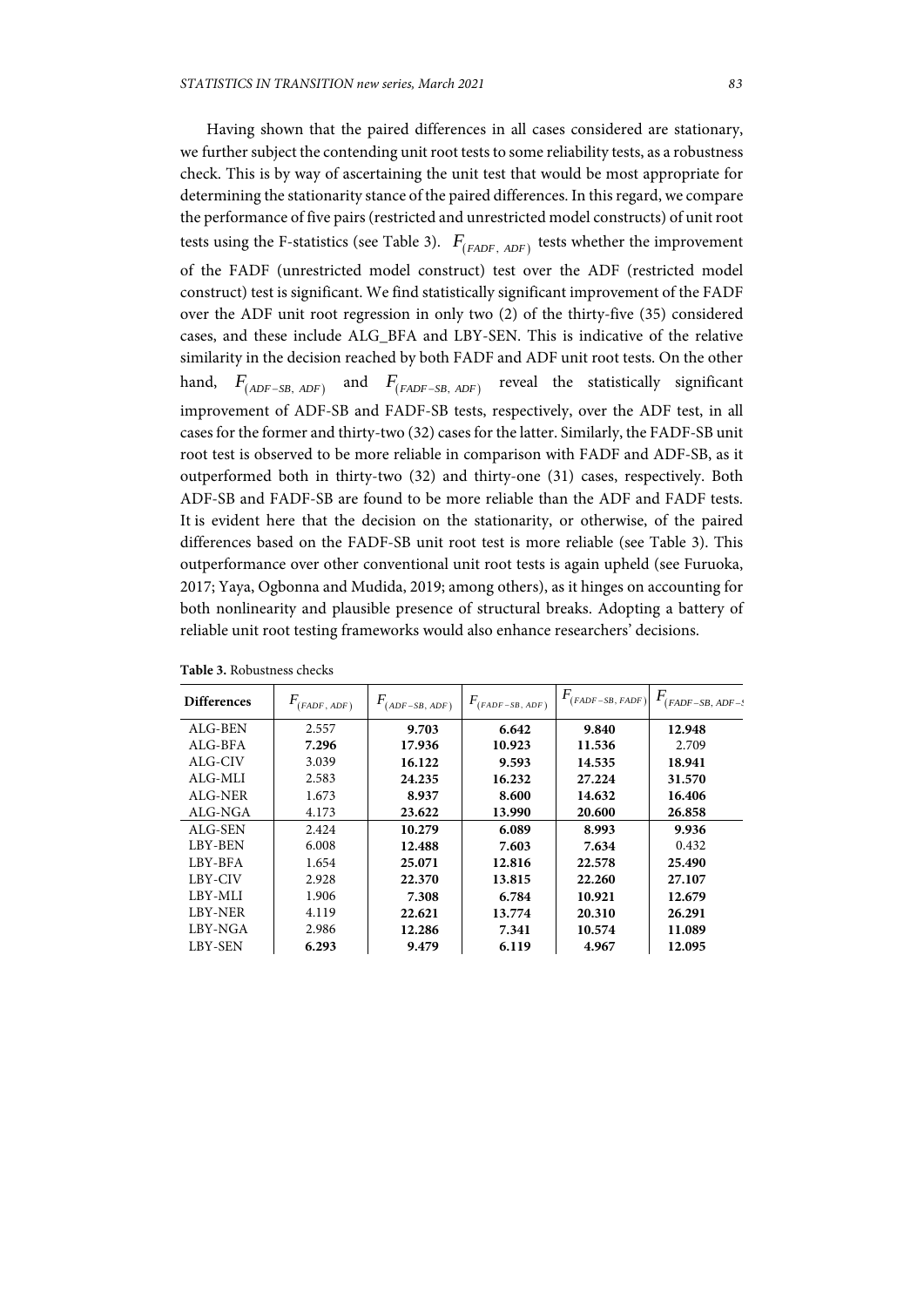Having shown that the paired differences in all cases considered are stationary, we further subject the contending unit root tests to some reliability tests, as a robustness check. This is by way of ascertaining the unit test that would be most appropriate for determining the stationarity stance of the paired differences. In this regard, we compare the performance of five pairs (restricted and unrestricted model constructs) of unit root tests using the F-statistics (see Table 3).  $F_{(FADF, ADF)}$  tests whether the improvement of the FADF (unrestricted model construct) test over the ADF (restricted model construct) test is significant. We find statistically significant improvement of the FADF over the ADF unit root regression in only two (2) of the thirty-five (35) considered cases, and these include ALG\_BFA and LBY-SEN. This is indicative of the relative similarity in the decision reached by both FADF and ADF unit root tests. On the other hand,  $F_{(ADF-SB, ADF)}$  and  $F_{(FADF-SB, ADF)}$  reveal the statistically significant improvement of ADF-SB and FADF-SB tests, respectively, over the ADF test, in all cases for the former and thirty-two (32) cases for the latter. Similarly, the FADF-SB unit root test is observed to be more reliable in comparison with FADF and ADF-SB, as it outperformed both in thirty-two (32) and thirty-one (31) cases, respectively. Both ADF-SB and FADF-SB are found to be more reliable than the ADF and FADF tests. It is evident here that the decision on the stationarity, or otherwise, of the paired differences based on the FADF-SB unit root test is more reliable (see Table 3). This outperformance over other conventional unit root tests is again upheld (see Furuoka, 2017; Yaya, Ogbonna and Mudida, 2019; among others), as it hinges on accounting for both nonlinearity and plausible presence of structural breaks. Adopting a battery of reliable unit root testing frameworks would also enhance researchers' decisions.

| <b>Differences</b> | (FADF, ADF) | F.<br>$(ADF-SB, ADF)$ | $F_{(FADF-SB, ADF)}$ | $F_{(FADF-SB,\ FADF)}$ | $F_{(FADF-SB,\,ADF-\frac{1}{2})}$ |
|--------------------|-------------|-----------------------|----------------------|------------------------|-----------------------------------|
| ALG-BEN            | 2.557       | 9.703                 | 6.642                | 9.840                  | 12.948                            |
| ALG-BFA            | 7.296       | 17.936                | 10.923               | 11.536                 | 2.709                             |
| ALG-CIV            | 3.039       | 16.122                | 9.593                | 14.535                 | 18.941                            |
| ALG-MLI            | 2.583       | 24.235                | 16.232               | 27.224                 | 31.570                            |
| ALG-NER            | 1.673       | 8.937                 | 8.600                | 14.632                 | 16.406                            |
| ALG-NGA            | 4.173       | 23.622                | 13.990               | 20.600                 | 26.858                            |
| ALG-SEN            | 2.424       | 10.279                | 6.089                | 8.993                  | 9.936                             |
| LBY-BEN            | 6.008       | 12.488                | 7.603                | 7.634                  | 0.432                             |
| LBY-BFA            | 1.654       | 25.071                | 12.816               | 22.578                 | 25.490                            |
| LBY-CIV            | 2.928       | 22.370                | 13.815               | 22.260                 | 27.107                            |
| LBY-MLI            | 1.906       | 7.308                 | 6.784                | 10.921                 | 12.679                            |
| <b>LBY-NER</b>     | 4.119       | 22.621                | 13.774               | 20.310                 | 26.291                            |
| LBY-NGA            | 2.986       | 12.286                | 7.341                | 10.574                 | 11.089                            |
| LBY-SEN            | 6.293       | 9.479                 | 6.119                | 4.967                  | 12.095                            |

**Table 3.** Robustness checks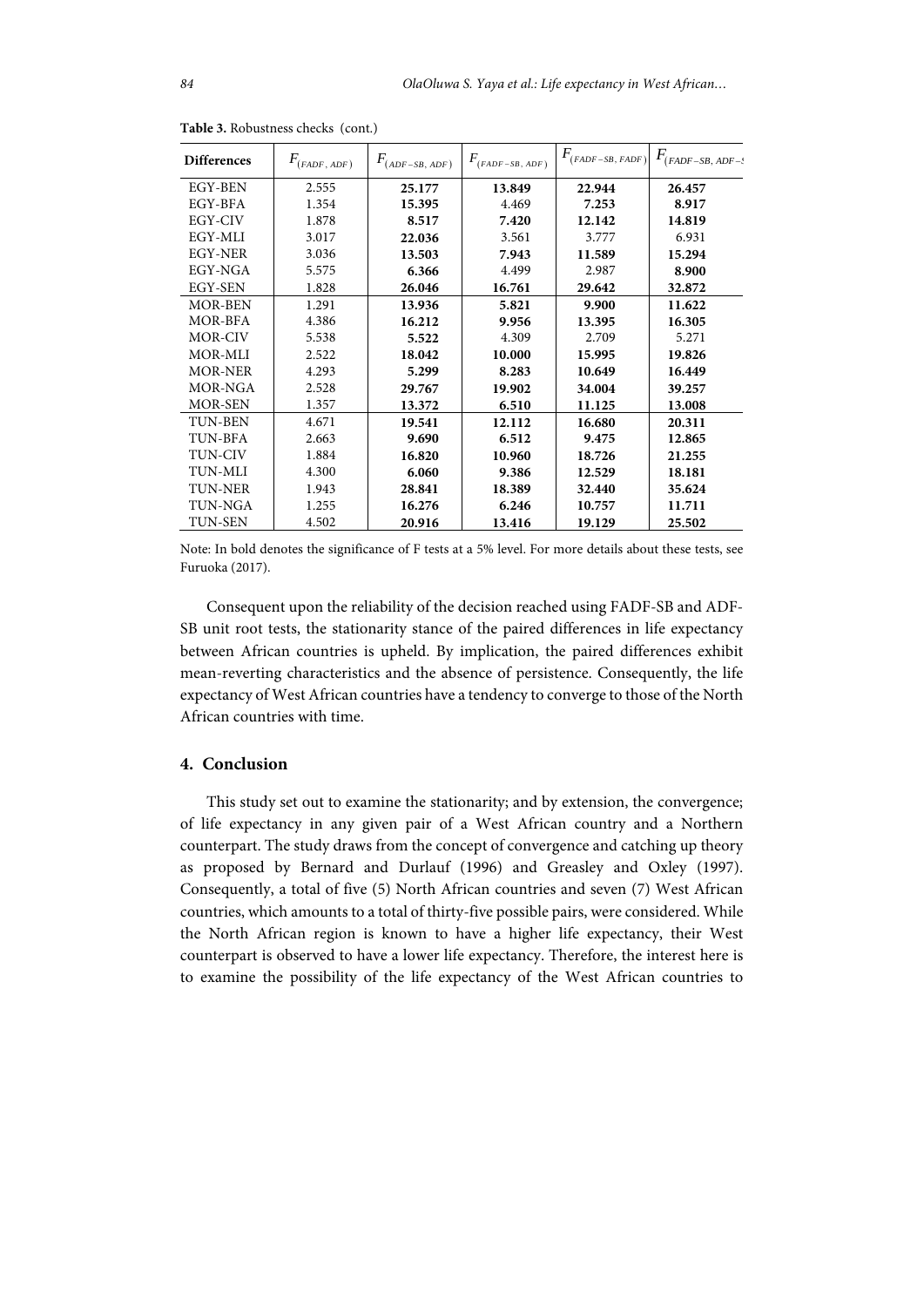| <b>Differences</b> | $F_{\text{(FADF, ADF)}}$ | $F_{\scriptscriptstyle (ADF-SB,\,ADF)}$ | $F_{(FADF-SB,\,ADF)}$ | $F_{\text{(FADF-SB, FADF)}}$ | $F_{(FADF-SB, ADF-\frac{1}{2})}$ |
|--------------------|--------------------------|-----------------------------------------|-----------------------|------------------------------|----------------------------------|
| EGY-BEN            | 2.555                    | 25.177                                  | 13.849                | 22.944                       | 26.457                           |
| EGY-BFA            | 1.354                    | 15.395                                  | 4.469                 | 7.253                        | 8.917                            |
| EGY-CIV            | 1.878                    | 8.517                                   | 7.420                 | 12.142                       | 14.819                           |
| EGY-MLI            | 3.017                    | 22.036                                  | 3.561                 | 3.777                        | 6.931                            |
| <b>EGY-NER</b>     | 3.036                    | 13.503                                  | 7.943                 | 11.589                       | 15.294                           |
| EGY-NGA            | 5.575                    | 6.366                                   | 4.499                 | 2.987                        | 8.900                            |
| EGY-SEN            | 1.828                    | 26.046                                  | 16.761                | 29.642                       | 32.872                           |
| <b>MOR-BEN</b>     | 1.291                    | 13.936                                  | 5.821                 | 9.900                        | 11.622                           |
| MOR-BFA            | 4.386                    | 16.212                                  | 9.956                 | 13.395                       | 16.305                           |
| MOR-CIV            | 5.538                    | 5.522                                   | 4.309                 | 2.709                        | 5.271                            |
| MOR-MLI            | 2.522                    | 18.042                                  | 10.000                | 15.995                       | 19.826                           |
| <b>MOR-NER</b>     | 4.293                    | 5.299                                   | 8.283                 | 10.649                       | 16.449                           |
| MOR-NGA            | 2.528                    | 29.767                                  | 19.902                | 34.004                       | 39.257                           |
| <b>MOR-SEN</b>     | 1.357                    | 13.372                                  | 6.510                 | 11.125                       | 13.008                           |
| <b>TUN-BEN</b>     | 4.671                    | 19.541                                  | 12.112                | 16.680                       | 20.311                           |
| TUN-BFA            | 2.663                    | 9.690                                   | 6.512                 | 9.475                        | 12.865                           |
| <b>TUN-CIV</b>     | 1.884                    | 16.820                                  | 10.960                | 18.726                       | 21.255                           |
| <b>TUN-MLI</b>     | 4.300                    | 6.060                                   | 9.386                 | 12.529                       | 18.181                           |
| <b>TUN-NER</b>     | 1.943                    | 28.841                                  | 18.389                | 32.440                       | 35.624                           |
| <b>TUN-NGA</b>     | 1.255                    | 16.276                                  | 6.246                 | 10.757                       | 11.711                           |
| <b>TUN-SEN</b>     | 4.502                    | 20.916                                  | 13.416                | 19.129                       | 25.502                           |

**Table 3.** Robustness checks (cont.)

Note: In bold denotes the significance of F tests at a 5% level. For more details about these tests, see Furuoka (2017).

Consequent upon the reliability of the decision reached using FADF-SB and ADF-SB unit root tests, the stationarity stance of the paired differences in life expectancy between African countries is upheld. By implication, the paired differences exhibit mean-reverting characteristics and the absence of persistence. Consequently, the life expectancy of West African countries have a tendency to converge to those of the North African countries with time.

## **4. Conclusion**

This study set out to examine the stationarity; and by extension, the convergence; of life expectancy in any given pair of a West African country and a Northern counterpart. The study draws from the concept of convergence and catching up theory as proposed by Bernard and Durlauf (1996) and Greasley and Oxley (1997). Consequently, a total of five (5) North African countries and seven (7) West African countries, which amounts to a total of thirty-five possible pairs, were considered. While the North African region is known to have a higher life expectancy, their West counterpart is observed to have a lower life expectancy. Therefore, the interest here is to examine the possibility of the life expectancy of the West African countries to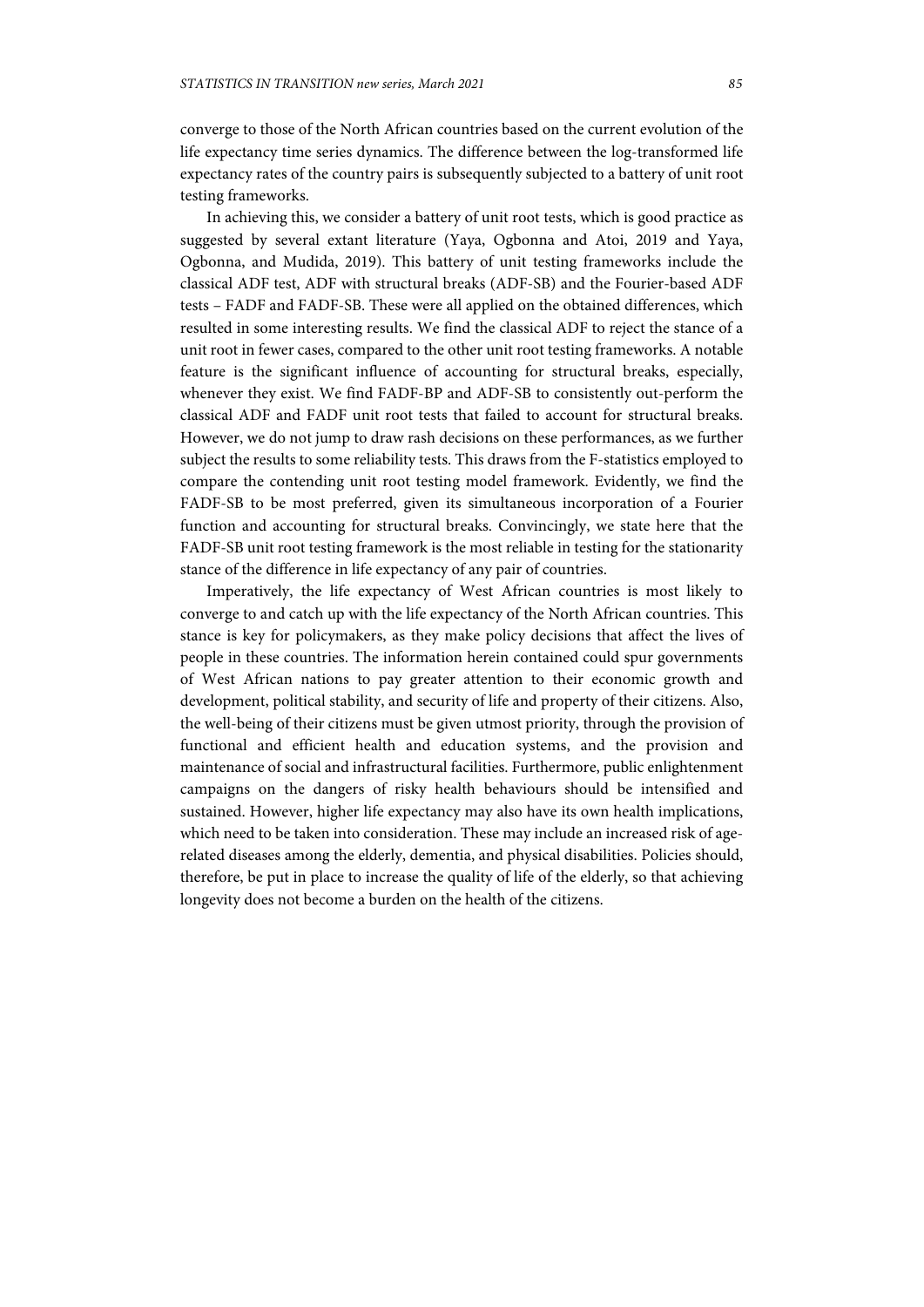converge to those of the North African countries based on the current evolution of the life expectancy time series dynamics. The difference between the log-transformed life expectancy rates of the country pairs is subsequently subjected to a battery of unit root testing frameworks.

In achieving this, we consider a battery of unit root tests, which is good practice as suggested by several extant literature (Yaya, Ogbonna and Atoi, 2019 and Yaya, Ogbonna, and Mudida, 2019). This battery of unit testing frameworks include the classical ADF test, ADF with structural breaks (ADF-SB) and the Fourier-based ADF tests – FADF and FADF-SB. These were all applied on the obtained differences, which resulted in some interesting results. We find the classical ADF to reject the stance of a unit root in fewer cases, compared to the other unit root testing frameworks. A notable feature is the significant influence of accounting for structural breaks, especially, whenever they exist. We find FADF-BP and ADF-SB to consistently out-perform the classical ADF and FADF unit root tests that failed to account for structural breaks. However, we do not jump to draw rash decisions on these performances, as we further subject the results to some reliability tests. This draws from the F-statistics employed to compare the contending unit root testing model framework. Evidently, we find the FADF-SB to be most preferred, given its simultaneous incorporation of a Fourier function and accounting for structural breaks. Convincingly, we state here that the FADF-SB unit root testing framework is the most reliable in testing for the stationarity stance of the difference in life expectancy of any pair of countries.

Imperatively, the life expectancy of West African countries is most likely to converge to and catch up with the life expectancy of the North African countries. This stance is key for policymakers, as they make policy decisions that affect the lives of people in these countries. The information herein contained could spur governments of West African nations to pay greater attention to their economic growth and development, political stability, and security of life and property of their citizens. Also, the well-being of their citizens must be given utmost priority, through the provision of functional and efficient health and education systems, and the provision and maintenance of social and infrastructural facilities. Furthermore, public enlightenment campaigns on the dangers of risky health behaviours should be intensified and sustained. However, higher life expectancy may also have its own health implications, which need to be taken into consideration. These may include an increased risk of agerelated diseases among the elderly, dementia, and physical disabilities. Policies should, therefore, be put in place to increase the quality of life of the elderly, so that achieving longevity does not become a burden on the health of the citizens.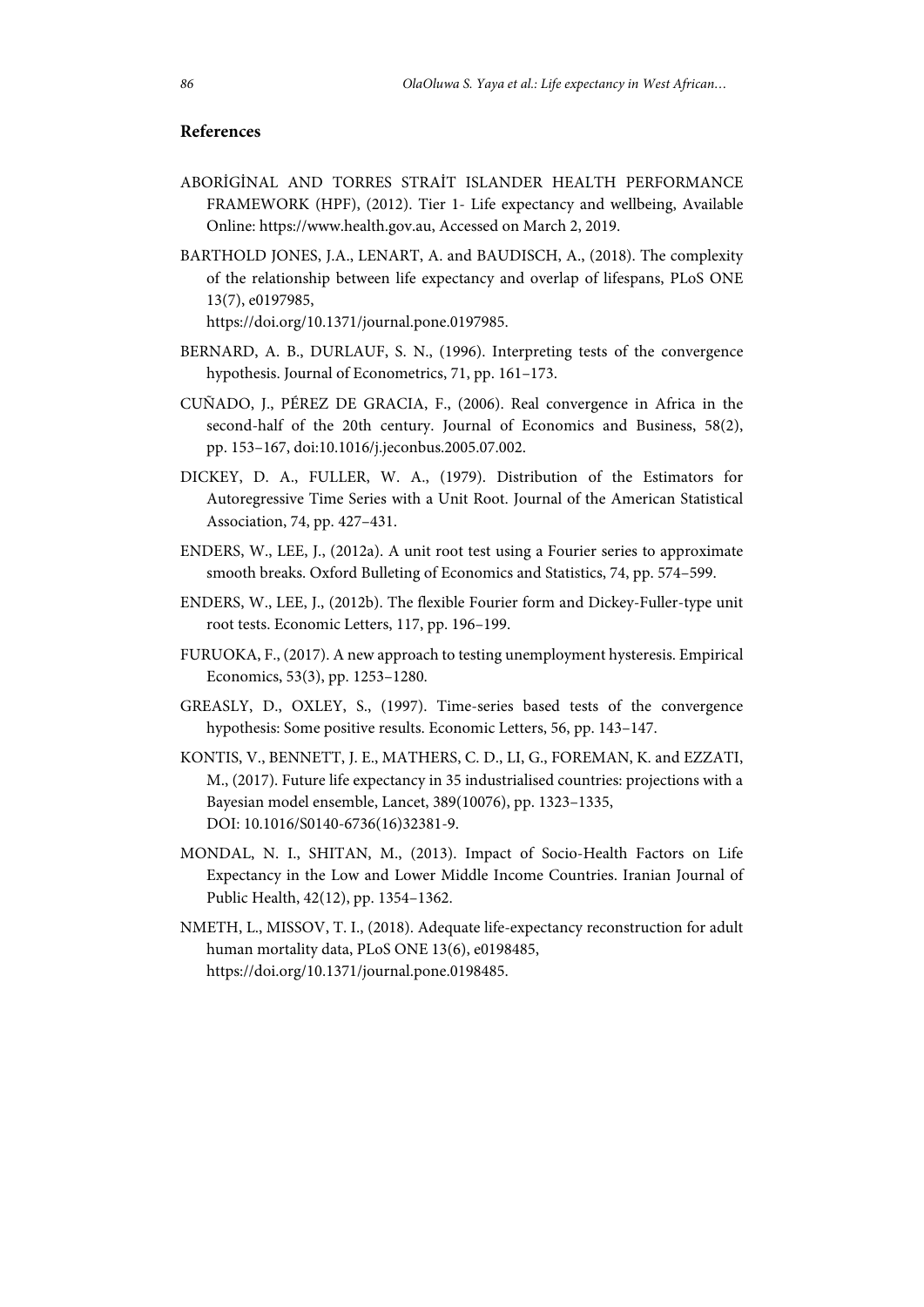## **References**

- ABORİGİNAL AND TORRES STRAİT ISLANDER HEALTH PERFORMANCE FRAMEWORK (HPF), (2012). Tier 1- Life expectancy and wellbeing, Available Online: https://www.health.gov.au, Accessed on March 2, 2019.
- BARTHOLD JONES, J.A., LENART, A. and BAUDISCH, A., (2018). The complexity of the relationship between life expectancy and overlap of lifespans, PLoS ONE 13(7), e0197985,

https://doi.org/10.1371/journal.pone.0197985.

- BERNARD, A. B., DURLAUF, S. N., (1996). Interpreting tests of the convergence hypothesis. Journal of Econometrics, 71, pp. 161–173.
- CUÑADO, J., PÉREZ DE GRACIA, F., (2006). Real convergence in Africa in the second-half of the 20th century. Journal of Economics and Business, 58(2), pp. 153–167, doi:10.1016/j.jeconbus.2005.07.002.
- DICKEY, D. A., FULLER, W. A., (1979). Distribution of the Estimators for Autoregressive Time Series with a Unit Root. Journal of the American Statistical Association, 74, pp. 427–431.
- ENDERS, W., LEE, J., (2012a). A unit root test using a Fourier series to approximate smooth breaks. Oxford Bulleting of Economics and Statistics, 74, pp. 574–599.
- ENDERS, W., LEE, J., (2012b). The flexible Fourier form and Dickey-Fuller-type unit root tests. Economic Letters, 117, pp. 196–199.
- FURUOKA, F., (2017). A new approach to testing unemployment hysteresis. Empirical Economics, 53(3), pp. 1253–1280.
- GREASLY, D., OXLEY, S., (1997). Time-series based tests of the convergence hypothesis: Some positive results. Economic Letters, 56, pp. 143–147.
- KONTIS, V., BENNETT, J. E., MATHERS, C. D., LI, G., FOREMAN, K. and EZZATI, M., (2017). Future life expectancy in 35 industrialised countries: projections with a Bayesian model ensemble, Lancet, 389(10076), pp. 1323–1335, DOI: 10.1016/S0140-6736(16)32381-9.
- MONDAL, N. I., SHITAN, M., (2013). Impact of Socio-Health Factors on Life Expectancy in the Low and Lower Middle Income Countries. Iranian Journal of Public Health, 42(12), pp. 1354–1362.
- NMETH, L., MISSOV, T. I., (2018). Adequate life-expectancy reconstruction for adult human mortality data, PLoS ONE 13(6), e0198485, https://doi.org/10.1371/journal.pone.0198485.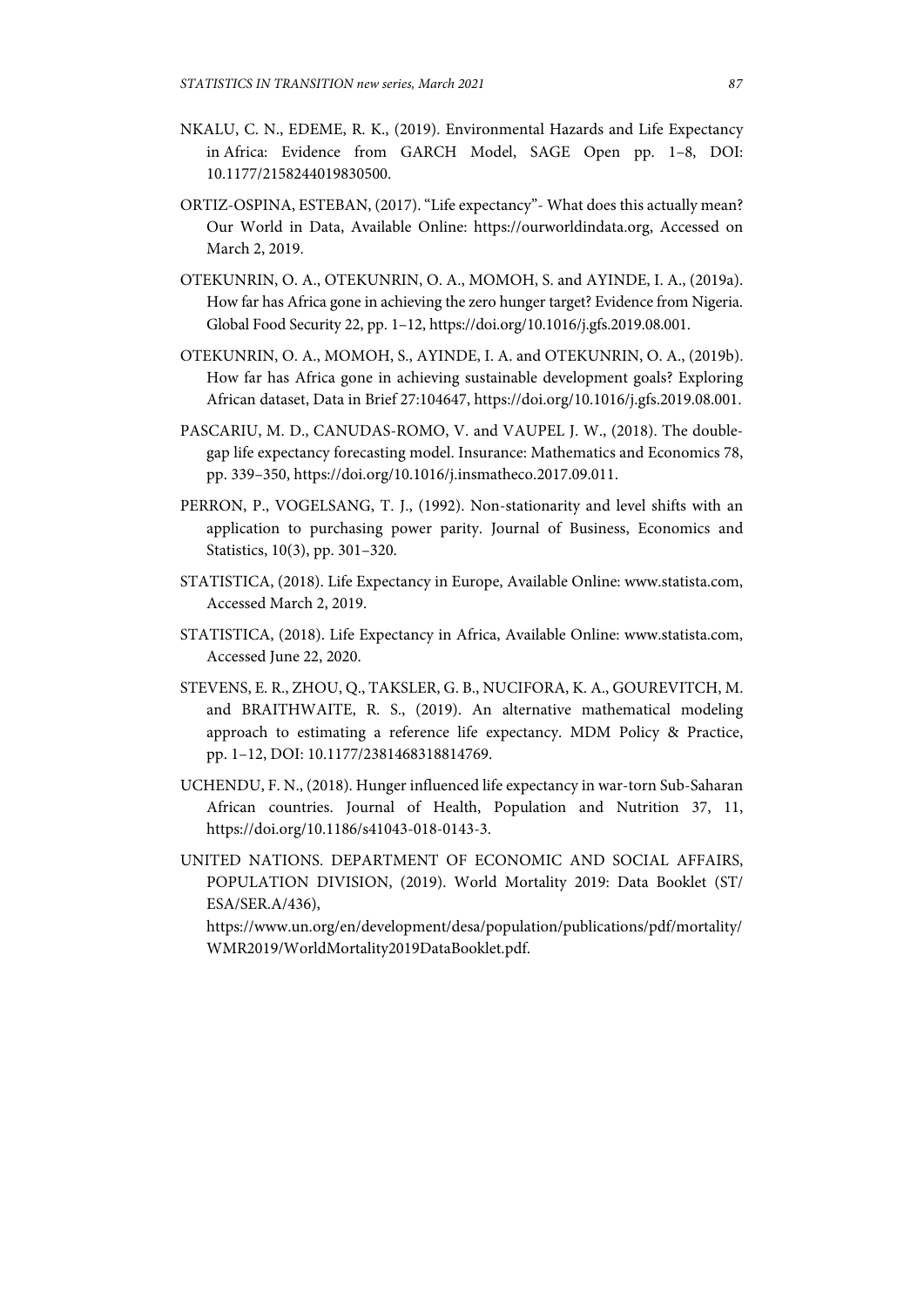- NKALU, C. N., EDEME, R. K., (2019). Environmental Hazards and Life Expectancy in Africa: Evidence from GARCH Model, SAGE Open pp. 1–8, DOI: 10.1177/2158244019830500.
- ORTIZ-OSPINA, ESTEBAN, (2017). "Life expectancy"- What does this actually mean? Our World in Data, Available Online: https://ourworldindata.org, Accessed on March 2, 2019.
- OTEKUNRIN, O. A., OTEKUNRIN, O. A., MOMOH, S. and AYINDE, I. A., (2019a). How far has Africa gone in achieving the zero hunger target? Evidence from Nigeria. Global Food Security 22, pp. 1–12, https://doi.org/10.1016/j.gfs.2019.08.001.
- OTEKUNRIN, O. A., MOMOH, S., AYINDE, I. A. and OTEKUNRIN, O. A., (2019b). How far has Africa gone in achieving sustainable development goals? Exploring African dataset, Data in Brief 27:104647, https://doi.org/10.1016/j.gfs.2019.08.001.
- PASCARIU, M. D., CANUDAS-ROMO, V. and VAUPEL J. W., (2018). The doublegap life expectancy forecasting model. Insurance: Mathematics and Economics 78, pp. 339–350, https://doi.org/10.1016/j.insmatheco.2017.09.011.
- PERRON, P., VOGELSANG, T. J., (1992). Non-stationarity and level shifts with an application to purchasing power parity. Journal of Business, Economics and Statistics, 10(3), pp. 301–320.
- STATISTICA, (2018). Life Expectancy in Europe, Available Online: www.statista.com, Accessed March 2, 2019.
- STATISTICA, (2018). Life Expectancy in Africa, Available Online: www.statista.com, Accessed June 22, 2020.
- STEVENS, E. R., ZHOU, Q., TAKSLER, G. B., NUCIFORA, K. A., GOUREVITCH, M. and BRAITHWAITE, R. S., (2019). An alternative mathematical modeling approach to estimating a reference life expectancy. MDM Policy & Practice, pp. 1–12, DOI: 10.1177/2381468318814769.
- UCHENDU, F. N., (2018). Hunger influenced life expectancy in war-torn Sub-Saharan African countries. Journal of Health, Population and Nutrition 37, 11, https://doi.org/10.1186/s41043-018-0143-3.
- UNITED NATIONS. DEPARTMENT OF ECONOMIC AND SOCIAL AFFAIRS, POPULATION DIVISION, (2019). World Mortality 2019: Data Booklet (ST/ ESA/SER.A/436),

https://www.un.org/en/development/desa/population/publications/pdf/mortality/ WMR2019/WorldMortality2019DataBooklet.pdf.